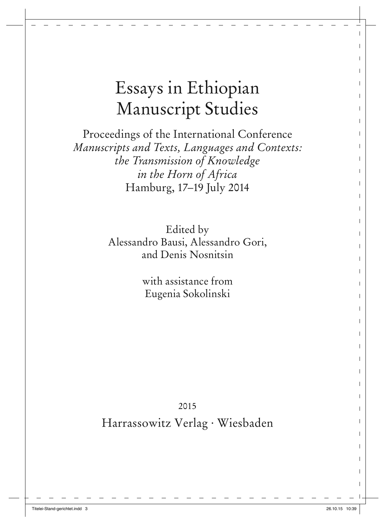# Essays in Ethiopian Manuscript Studies

Proceedings of the International Conference *Manuscripts and Texts, Languages and Contexts: the Transmission of Knowledge in the Horn of Africa*  Hamburg, 17–19 July 2014

> Edited by Alessandro Bausi, Alessandro Gori, and Denis Nosnitsin

> > with assistance from Eugenia Sokolinski

2015 Harrassowitz Verlag · Wiesbaden

 $\mathbf{I}$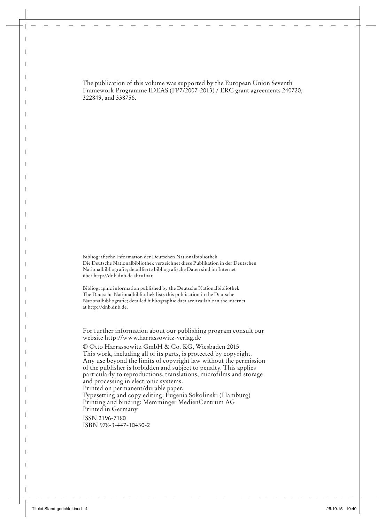The publication of this volume was supported by the European Union Seventh Framework Programme IDEAS (FP7/2007-2013) / ERC grant agreements 240720, 322849, and 338756.

Bibliografische Information der Deutschen Nationalbibliothek Die Deutsche Nationalbibliothek verzeichnet diese Publikation in der Deutschen Nationalbibliografie; detaillierte bibliografische Daten sind im Internet über http://dnb.dnb.de abrufbar.

Bibliographic information published by the Deutsche Nationalbibliothek The Deutsche Nationalbibliothek lists this publication in the Deutsche Nationalbibliografie; detailed bibliographic data are available in the internet at http://dnb.dnb.de.

For further information about our publishing program consult our website http://www.harrassowitz-verlag.de

© Otto Harrassowitz GmbH & Co. KG, Wiesbaden 2015 This work, including all of its parts, is protected by copyright. Any use beyond the limits of copyright law without the permission of the publisher is forbidden and subject to penalty. This applies particularly to reproductions, translations, microfilms and storage and processing in electronic systems. Printed on permanent/durable paper. Typesetting and copy editing: Eugenia Sokolinski (Hamburg) Printing and binding: Memminger MedienCentrum AG Printed in Germany ISSN 2196-7180 ISBN 978-3-447-10430-2

 $\overline{\phantom{a}}$ 

 $\overline{\phantom{a}}$  $\mathbf I$  $\mathsf I$  $\overline{\phantom{a}}$ 

 $\overline{\phantom{a}}$  $\mathbf{I}$ 

 $\overline{\phantom{a}}$  $\overline{\phantom{a}}$ 

> $\overline{\phantom{a}}$  $\overline{\phantom{a}}$  $\mathbf I$

I

 $\overline{\phantom{a}}$  $\overline{\phantom{a}}$ 

I  $\overline{\phantom{a}}$  $\overline{\phantom{a}}$ 

 $\mathsf I$  $\overline{\phantom{a}}$ H H  $\overline{\phantom{a}}$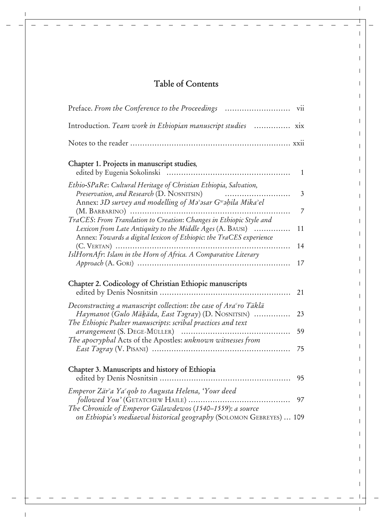# **Table of Contents**

 $\mathbf{I}$ 

 $\mathbf{I}$ 

 $\top$  $\mathbf{I}$  $\overline{1}$  $\mathbf{I}$  $\overline{1}$  $\mathbf{I}$  $\mathbf{I}$  $\mathbf{I}$  $\mathbf{I}$  $\mathbf{I}$  $\mathbf{I}$  $\overline{1}$  $\mathbf{I}$  $\mathbf{I}$  $\overline{1}$  $\mathbf{I}$  $\mathbf{I}$  $\mathbf{I}$  $\mathbf{I}$  $\mathbf{I}$  $\mathbf{I}$  $\mathbf{I}$  $\mathbf{I}$  $\mathbf{I}$  $\mathbf{I}$  $\mathbf{I}$  $\mathbf{I}$  $\mathbf{I}$  $\mathbf{I}$  $\mathbf{I}$  $\mathbf{I}$  $\mathbf{I}$  $\mathbf{I}$  $\mathbf{I}$  $\mathbf{I}$  $\mathbf I$  $\mathbf I$  $\mathbf{I}$  $\begin{array}{c} \begin{array}{c} \hline \end{array} \end{array}$ 

| Preface. From the Conference to the Proceedings                                                                                                                                                                   | V11          |
|-------------------------------------------------------------------------------------------------------------------------------------------------------------------------------------------------------------------|--------------|
| Introduction. Team work in Ethiopian manuscript studies  xix                                                                                                                                                      |              |
|                                                                                                                                                                                                                   |              |
| Chapter 1. Projects in manuscript studies,                                                                                                                                                                        | $\mathbf{1}$ |
| Ethio-SPaRe: Cultural Heritage of Christian Ethiopia, Salvation,<br>Preservation, and Research (D. NOSNITSIN)<br>Annex: 3D survey and modelling of Ma <sup>3</sup> asar G <sup>w</sup> ahila Mika <sup>3</sup> el | 3            |
| TraCES: From Translation to Creation: Changes in Ethiopic Style and<br>Lexicon from Late Antiquity to the Middle Ages (A. BAUSI)<br>Annex: Towards a digital lexicon of Ethiopic: the TraCES experience           | 7<br>11      |
| .<br>IslHornAfr: Islam in the Horn of Africa. A Comparative Literary                                                                                                                                              | 14<br>17     |
| Chapter 2. Codicology of Christian Ethiopic manuscripts                                                                                                                                                           | 21           |
| Deconstructing a manuscript collection: the case of Ara $\epsilon$ ro Täklä<br>Haymanot (Gulo Mäkäda, East Təgray) (D. NOSNITSIN)<br>The Ethiopic Psalter manuscripts: scribal practices and text                 | 23           |
| The apocryphal Acts of the Apostles: unknown witnesses from                                                                                                                                                       | 59<br>75     |
| Chapter 3. Manuscripts and history of Ethiopia                                                                                                                                                                    | 95           |
| Emperor Zär <sup>2</sup> a Ya <sup>c</sup> qob to Augusta Helena, 'Your deed<br>The Chronicle of Emperor Gälawdewos (1540-1559): a source                                                                         | 97           |
| on Ethiopia's mediaeval historical geography (SOLOMON GEBREYES)  109                                                                                                                                              |              |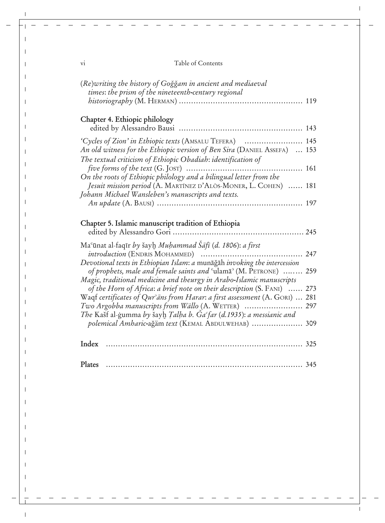| V1 |  | Table of Contents |
|----|--|-------------------|
|----|--|-------------------|

 $\overline{1}$ 

 $\mathbf{I}$ 

| (Re)writing the history of Goğğam in ancient and mediaeval<br>times: the prism of the nineteenth-century regional                                                                                   |     |
|-----------------------------------------------------------------------------------------------------------------------------------------------------------------------------------------------------|-----|
|                                                                                                                                                                                                     |     |
| Chapter 4. Ethiopic philology                                                                                                                                                                       |     |
| 'Cycles of Zion' in Ethiopic texts (AMSALU TEFERA)  145<br>An old witness for the Ethiopic version of Ben Sira (DANIEL ASSEFA)  153<br>The textual criticism of Ethiopic Obadiah: identification of |     |
| On the roots of Ethiopic philology and a bilingual letter from the                                                                                                                                  |     |
| Jesuit mission period (A. MARTÍNEZ D'ALÒS-MONER, L. COHEN)  181<br>Johann Michael Wansleben's manuscripts and texts.                                                                                |     |
|                                                                                                                                                                                                     |     |
| Chapter 5. Islamic manuscript tradition of Ethiopia                                                                                                                                                 |     |
| Ma <sup>c</sup> ūnat al-faqīr by šayh Muhammad Sāfī (d. 1806): a first                                                                                                                              |     |
| Devotional texts in Ethiopian Islam: a munāğāh invoking the intercession                                                                                                                            |     |
| of prophets, male and female saints and $\text{``ulama''}$ (M. PETRONE)  259<br>Magic, traditional medicine and theurgy in Arabo-Islamic manuscripts                                                |     |
| of the Horn of Africa: a brief note on their description (S. FANI)<br>Waqf certificates of Qur <sup>2</sup> ans from Harar: a first assessment (A. GORI)  281                                       | 273 |
| Two Argobba manuscripts from Wällo (A. WETTER)<br>The Kašf al-ġumma by šayḫ Talha b. Ga°far (d.1935): a messianic and                                                                               | 297 |
| polemical Amharic-ağäm text (KEMAL ABDULWEHAB)  309                                                                                                                                                 |     |
| Index                                                                                                                                                                                               |     |
| Plates                                                                                                                                                                                              |     |

 $\mathbf{I}$ 

 $\mathbf{I}$  $\mathbf{I}$ 

 $\overline{\phantom{a}}$ 

 $\mathbf{I}$ 

 $\mathbf{I}$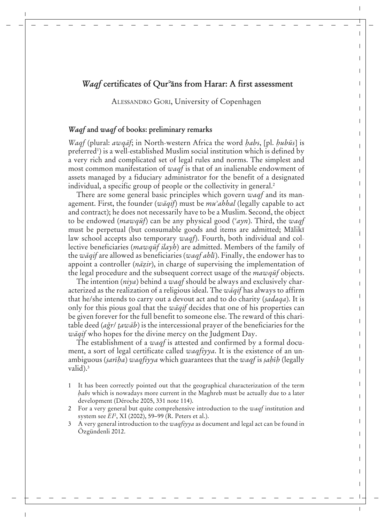# *Waqf* certificates of Qur<sup>3</sup>ans from Harar: A first assessment

 $\overline{1}$ 

 $\mathbf{I}$  $\mathbf{I}$  $\mathbf{I}$ ı  $\mathbf{I}$  $\mathbf{I}$ 

Ť  $\mathbf{I}$  $\mathbf{I}$  $\mathbf{I}$ Ī  $\mathbf{I}$  $\mathbf{I}$  $\mathbf{I}$  $\overline{1}$  $\mathbf{I}$  $\mathbf{I}$  $\mathbf{I}$  $\mathbf{I}$ I Ī  $\mathbf{I}$  $\mathbf{I}$  $\mathbf{I}$ I T Ī  $\mathbf{I}$  $\mathbf{I}$ I Ī I  $\mathbf{I}$  $\mathbf{I}$  $\mathsf{I}$  $\mathbf{I}$ 

ALESSANDRO GORI, University of Copenhagen

# *Waqf* **and** *waqf* **of books: preliminary remarks**

*Waqf* (plural: *awqāf*; in North-western Africa the word *habs*, [pl. *hubūs*] is preferred<sup>1</sup>) is a well-established Muslim social institution which is defined by a very rich and complicated set of legal rules and norms. The simplest and most common manifestation of *waqf* is that of an inalienable endowment of assets managed by a fiduciary administrator for the benefit of a designated individual, a specific group of people or the collectivity in general.<sup>2</sup>

There are some general basic principles which govern *waqf* and its management. First, the founder (*wàqif*) must be *muʝahhal* (legally capable to act and contract); he does not necessarily have to be a Muslim. Second, the object to be endowed *(mawqut)* can be any physical good *(<sup>c</sup>ayn*). Third, the *waqf* must be perpetual (but consumable goods and items are admitted; Mālikī law school accepts also temporary *waqf*). Fourth, both individual and collective beneficiaries (*mawqut ilayh*) are admitted. Members of the family of the *wāqif* are allowed as beneficiaries (*waqf ahlī*). Finally, the endower has to appoint a controller (*nà٤ir*), in charge of supervising the implementation of the legal procedure and the subsequent correct usage of the *mawqut* objects.

The intention (*niya*) behind a *waqf* should be always and exclusively characterized as the realization of a religious ideal. The *wàqif* has always to affirm that he/she intends to carry out a devout act and to do charity (*صadaqa*). It is only for this pious goal that the *wàqif* decides that one of his properties can be given forever for the full benefit to someone else. The reward of this charitable deed (*adžr*/ *ـawàb*) is the intercessional prayer of the beneficiaries for the *wàqif* who hopes for the divine mercy on the Judgment Day.

The establishment of a *waqf* is attested and confirmed by a formal document, a sort of legal certificate called *waqfiyya*. It is the existence of an unambiguous *(sarība) waqfiyya* which guarantees that the *waqf* is *sabīb* (legally valid).<sup>3</sup>

- 1 It has been correctly pointed out that the geographical characterization of the term *abs* which is nowadays more current in the Maghreb must be actually due to a later development (Déroche 2005, 331 note 114).
- 2 For a very general but quite comprehensive introduction to the *waqf* institution and system see *EI*<sup>2</sup> , XI (2002), 59*–*99 (R. Peters et al.).
- 3 A very general introduction to the *waqfiyya* as document and legal act can be found in Özgündenli 2012.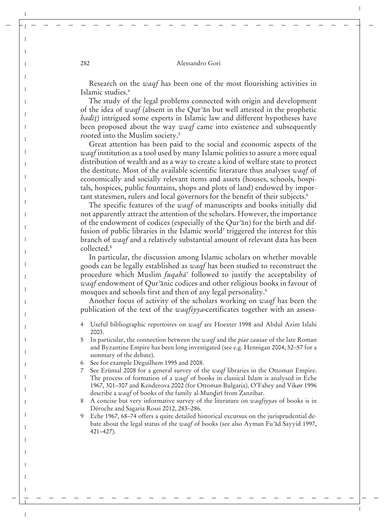Research on the *waqf* has been one of the most flourishing activities in Islamic studies.4

The study of the legal problems connected with origin and development of the idea of *waqf* (absent in the Qur<sup>3</sup>an but well attested in the prophetic *hadīt*) intrigued some experts in Islamic law and different hypotheses have been proposed about the way *waqf* came into existence and subsequently rooted into the Muslim society.<sup>5</sup>

Great attention has been paid to the social and economic aspects of the *waqf* institution as a tool used by many Islamic polities to assure a more equal distribution of wealth and as a way to create a kind of welfare state to protect the destitute. Most of the available scientific literature thus analyses *waqf* of economically and socially relevant items and assets (houses, schools, hospitals, hospices, public fountains, shops and plots of land) endowed by important statesmen, rulers and local governors for the benefit of their subjects.<sup>6</sup>

The specific features of the *waqf* of manuscripts and books initially did not apparently attract the attention of the scholars. However, the importance of the endowment of codices (especially of the Qur<sup>3</sup>an) for the birth and diffusion of public libraries in the Islamic world<sup>7</sup> triggered the interest for this branch of *waqf* and a relatively substantial amount of relevant data has been collected.8

In particular, the discussion among Islamic scholars on whether movable goods can be legally established as *waqf* has been studied to reconstruct the procedure which Muslim *fuqahā*<sup>3</sup> followed to justify the acceptability of *waqf* endowment of Qur<sup>3</sup>anic codices and other religious books in favour of mosques and schools first and then of any legal personality.<sup>9</sup>

Another focus of activity of the scholars working on *waqf* has been the publication of the text of the *waqfiyya-*certificates together with an assess-

- 4 Useful bibliographic repertoires on *waqf* are Hoexter 1998 and Abdul Azim Islahi 2003.
- 5 In particular, the connection between the *waqf* and the *piae causae* of the late Roman and Byzantine Empire has been long investigated (see e.g. Hennigan 2004, 52–57 for a summary of the debate).
- 6 See for example Deguilhem 1995 and 2008.
- 7 See Erünsal 2008 for a general survey of the *waqf* libraries in the Ottoman Empire. The process of formation of a *waqf* of books in classical Islam is analysed in Eche 1967, 301–307 and Kenderova 2002 (for Ottoman Bulgaria). O'Fahey and Vikør 1996 describe a *waqf* of books of the family al-Mundiri from Zanzibar.
- 8 A concise but very informative survey of the literature on *waqfiyya*s of books is in Déroche and Sagaria Rossi 2012, 283–286.
- Eche 1967, 68–74 offers a quite detailed historical excursus on the jurisprudential debate about the legal status of the *waqf* of books (see also Ayman Fuʝàd Sayyid 1997, 421–427).

 $\overline{\phantom{a}}$ 

H

 $\overline{\phantom{a}}$ 

 $\mathbf{I}$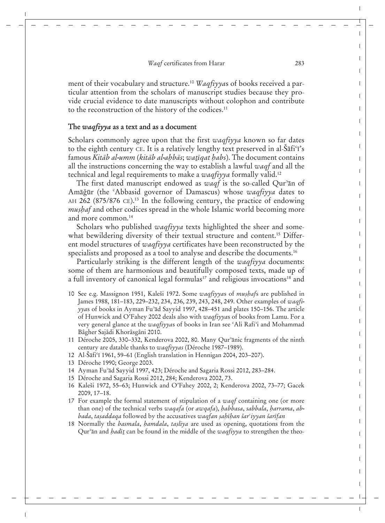ment of their vocabulary and structure.10 *Waqfiyya*s of books received a particular attention from the scholars of manuscript studies because they provide crucial evidence to date manuscripts without colophon and contribute to the reconstruction of the history of the codices.<sup>11</sup>

#### **The** *waqfiyya* **as a text and as a document**

Scholars commonly agree upon that the first *waqfiyya* known so far dates to the eighth century CE. It is a relatively lengthy text preserved in al- $\tilde{\delta}$ afi<sup>c</sup>i's famous *Kitāb al-umm (kitāb al-abbās; watīgat habs)*. The document contains all the instructions concerning the way to establish a lawful *waqf* and all the technical and legal requirements to make a *waqfiyya* formally valid.12

The first dated manuscript endowed as *waqf* is the so-called Qur<sup>3</sup>an of Amāğūr (the <sup>c</sup>Abbasid governor of Damascus) whose *waqfiyya* dates to AH 262 (875/876 CE).<sup>13</sup> In the following century, the practice of endowing *mushaf* and other codices spread in the whole Islamic world becoming more and more common.14

Scholars who published *waqfiyya* texts highlighted the sheer and somewhat bewildering diversity of their textual structure and content.<sup>15</sup> Different model structures of *waqfiyya* certificates have been reconstructed by the specialists and proposed as a tool to analyse and describe the documents.<sup>16</sup>

Particularly striking is the different length of the *waqfiyya* documents: some of them are harmonious and beautifully composed texts, made up of a full inventory of canonical legal formulas<sup>17</sup> and religious invocations<sup>18</sup> and

- 10 See e.g. Massignon 1951, Kaleši 1972. Some *waqfiyya*s of *muصaf*s are published in James 1988, 181–183, 229–232, 234, 236, 239, 243, 248, 249. Other examples of *waqfiyyas* of books in Ayman Fu<sup>3</sup>ad Sayyid 1997, 428–451 and plates 150–156. The article of Hunwick and O'Fahey 2002 deals also with *waqfiyya*s of books from Lamu. For a very general glance at the *waqfiyya*s of books in Iran see <sup>c</sup>Ali Rafi<sup>3</sup>i and Mohammad Bâgher Sajâdi Khorâsgâni 2010.
- 11 Déroche 2005, 330–332, Kenderova 2002, 80. Many Qur<sup>3</sup>ānic fragments of the ninth century are datable thanks to *waqfiyyas* (Déroche 1987–1989).
- 12 Al-Sāfi<sup>c</sup>ī 1961, 59–61 (English translation in Hennigan 2004, 203–207).
- 13 Déroche 1990; George 2003.
- 14 Ayman Fu<sup>3</sup>ad Sayyid 1997, 423; Déroche and Sagaria Rossi 2012, 283-284.
- 15 Déroche and Sagaria Rossi 2012, 284; Kenderova 2002, 73.
- 16 Kaleši 1972, 55–63; Hunwick and O'Fahey 2002, 2; Kenderova 2002, 73–77; Gacek 2009, 17–18.
- 17 For example the formal statement of stipulation of a *waqf* containing one (or more than one) of the technical verbs *waqafa* (or *awqafa*), *abbasa*, *sabbala*, *arrama*, *abbada, taṣaddaqa* followed by the accusatives waqfan ṣaḥīḥan šarˁɪyyan šarīfan
- 18 Normally the *basmala*, *hamdala*, *tasliya* are used as opening, quotations from the Qur<sup>3</sup>an and *hadit* can be found in the middle of the *waqfiyya* to strengthen the theo-

 $\overline{\phantom{a}}$ 

 $\mathbf{I}$  $\mathbf{I}$  $\mathbf{I}$ 

> $\mathbf{I}$  $\mathbf{I}$

> $\mathbf{I}$ I  $\mathbf{I}$  $\mathbf{I}$  $\mathbf{I}$  $\mathbf{I}$ ı  $\mathbf{I}$ Ī I  $\mathbf{I}$  $\mathsf{I}$  $\mathbf{I}$ I Ī  $\mathbf{I}$  $\mathbf{I}$  $\mathbf{I}$

> > I Ť L

T  $\mathbf{I}$  $\mathsf{I}$  $\mathbf{I}$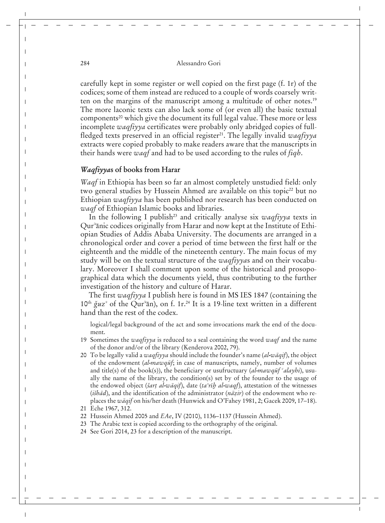carefully kept in some register or well copied on the first page (f. 1r) of the codices; some of them instead are reduced to a couple of words coarsely written on the margins of the manuscript among a multitude of other notes.19 The more laconic texts can also lack some of (or even all) the basic textual components<sup>20</sup> which give the document its full legal value. These more or less incomplete *waqfiyya* certificates were probably only abridged copies of fullfledged texts preserved in an official register<sup>21</sup>. The legally invalid *waqfiyya* extracts were copied probably to make readers aware that the manuscripts in their hands were *waqf* and had to be used according to the rules of *fiqh*.

## *Waqfiyya***s of books from Harar**

*Waqf* in Ethiopia has been so far an almost completely unstudied field: only two general studies by Hussein Ahmed are available on this topic<sup>22</sup> but no Ethiopian *waqfiyya* has been published nor research has been conducted on *waqf* of Ethiopian Islamic books and libraries.

In the following I publish<sup>23</sup> and critically analyse six *waqfiyya* texts in Qur<sup>3</sup>anic codices originally from Harar and now kept at the Institute of Ethiopian Studies of Addis Ababa University. The documents are arranged in a chronological order and cover a period of time between the first half or the eighteenth and the middle of the nineteenth century. The main focus of my study will be on the textual structure of the *waqfiyya*s and on their vocabulary. Moreover I shall comment upon some of the historical and prosopographical data which the documents yield, thus contributing to the further investigation of the history and culture of Harar.

The first *waqfiyya* I publish here is found in MS IES 1847 (containing the 10<sup>th</sup>  $\check{g}uz^{\circ}$  of the Qur<sup>3</sup>an), on f. 1r.<sup>24</sup> It is a 19-line text written in a different hand than the rest of the codex.

logical/legal background of the act and some invocations mark the end of the document.

- 19 Sometimes the *waqfiyya* is reduced to a seal containing the word *waqf* and the name of the donor and/or of the library (Kenderova 2002, 79).
- 20 To be legally valid a *waqfiyya* should include the founder's name (*al-wàqif*), the object of the endowment *(al-mawqut<sup>f</sup>*; in case of manuscripts, namely, number of volumes and title(s) of the book(s)), the beneficiary or usufructuary  $(al$ *-mawqut*  $^c$ *alayhi*), usually the name of the library, the condition(s) set by of the founder to the usage of the endowed object (*šart al-wāqif*), date (*ta<sup>3</sup>rīb al-waqf*), attestation of the witnesses (*i\ihad*), and the identification of the administrator (*nãzir*) of the endowment who replaces the *wàqif* on his/her death (Hunwick and O'Fahey 1981, 2; Gacek 2009, 17–18).
- 21 Eche 1967, 312.
- 22 Hussein Ahmed 2005 and *EAe*, IV (2010), 1136–1137 (Hussein Ahmed).
- 23 The Arabic text is copied according to the orthography of the original.
- 24 See Gori 2014, 23 for a description of the manuscript.

 $\overline{\phantom{a}}$ 

H

 $\overline{\phantom{a}}$ 

 $\overline{\phantom{a}}$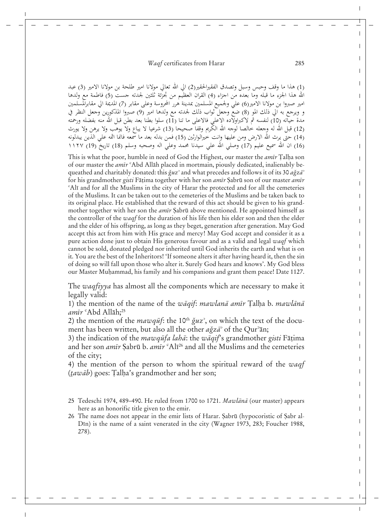(1) هذا ما وقف وحبس وسبل وتصدق الفقيرالحقير(2) الى الله تعالى مولانا امير طلحة بن مولانا الامير (3) عبد الله هذا الجزءِ ما قبله وما بعده من اجزاءِ (4) القران العظيّم من تجزّئة ثلثين لجدته جست (5) فاطمة مع ولدها امير صبروا بن مولانا الآمير(6) عليّ ولجميع المسلمين بمدينة هٰرر المحروسة وعلى مقابر (7) المديمة الي مقابرالمسلمين<br>و ويرجع به الي ذلك المو (8) ضع وجعل ثواب ذلك لجدته مع ولدها امير (9) صبروا المذكورين وجعل النظر في مدة حيَّاته (10) لنفسه ثم لاكبراولاده الاعلى فالاعلى ما تنا (11) سلوا بطنا بعد بطن قبل الله منه بفضله ورحمته (12) قبَّل الله له وجعله خالصاً لوجه الله الكَّريم وقفاً صحيحاً (13) شرعيا لا يباع ولا يوهب ولا يوهن ولا يورث (14) حتى يرث الله الارض ومن عليها وانت خيرالوارثين (15) فمن بدله بعد ما سمعه فانما اثمه على الذين يبدلونه (16) ان الله سميع عليم (17) وصلى الله على سيدنا محمد وعلى اله وصحبه وسلم (18) تاريخ (19) ١١٢٧

This is what the poor, humble in need of God the Highest, our master the *amir* Talha son of our master the *amir* <sup>e</sup>Abd Allāh placed in mortmain, piously dedicated, inalienably bequeathed and charitably donated: this  $\check{g}uz^2$  and what precedes and follows it of its 30 *a*gz $\vec{a}$ <sup>7</sup> for his grandmother *gisti* Fāṭima together with her son *amīr* Şabrū son of our master *amīr* <sup>c</sup>Alī and for all the Muslims in the city of Harar the protected and for all the cemeteries of the Muslims. It can be taken out to the cemeteries of the Muslims and be taken back to its original place. He established that the reward of this act should be given to his grandmother together with her son the *amīr* Şabrū above mentioned. He appointed himself as the controller of the *waqf* for the duration of his life then his elder son and then the elder and the elder of his offspring, as long as they beget, generation after generation. May God accept this act from him with His grace and mercy! May God accept and consider it as a pure action done just to obtain His generous favour and as a valid and legal *waqf* which cannot be sold, donated pledged nor inherited until God inherits the earth and what is on it. You are the best of the Inheritors! 'If someone alters it after having heard it, then the sin of doing so will fall upon those who alter it. Surely God hears and knows'. My God bless our Master Muammad, his family and his companions and grant them peace! Date 1127.

The *waqfiyya* has almost all the components which are necessary to make it legally valid:

1) the mention of the name of the *wāqif: mawlanā amīr* Talha b. *mawlānā amīr* <sup>c</sup>Abd Allāh;<sup>25</sup>

2) the mention of the  $mawq\bar{u}f$ : the 10<sup>th</sup>  $\check{g}uz^2$ , on which the text of the document has been written, but also all the other  $a\check{g}z\bar{a}$ <sup>3</sup> of the Qur<sup>3</sup>an;

3) the indication of the *mawquta laha*: the *waqif*'s grandmother *gisti* Fatima and her son *amīr* Sabrū b. *amīr* <sup>c</sup>Alī<sup>26</sup> and all the Muslims and the cemeteries of the city;

4) the mention of the person to whom the spiritual reward of the *waqf* (*tawāb*) goes: Țalḥa's grandmother and her son;

- 25 Tedeschi 1974, 489–490. He ruled from 1700 to 1721. *Mawlànà* (our master) appears here as an honorific title given to the emir.
- 26 The name does not appear in the emir lists of Harar. Sabrū (hypocoristic of Sabr al-Din) is the name of a saint venerated in the city (Wagner 1973, 283; Foucher 1988, 278).

 $\overline{1}$ 

 $\mathbf{I}$  $\mathbf{I}$ ı  $\mathbf{I}$  $\mathbf{I}$ I  $\mathbf{I}$ I  $\mathbf{I}$  $\mathbf{I}$ Ī  $\mathbf{I}$  $\mathbf l$  $\mathbf{I}$ Ī

 $\mathbf{I}$  $\mathbf{I}$  $\mathbf{I}$ I Ī  $\mathbf{I}$  $\mathbf{I}$  $\mathbf{I}$ 

ı Ī  $\mathbf{I}$  $\mathbf{I}$ 

Ī I  $\mathbf{I}$  $\mathbf{I}$  $\mathsf{I}$  $\mathbf{I}$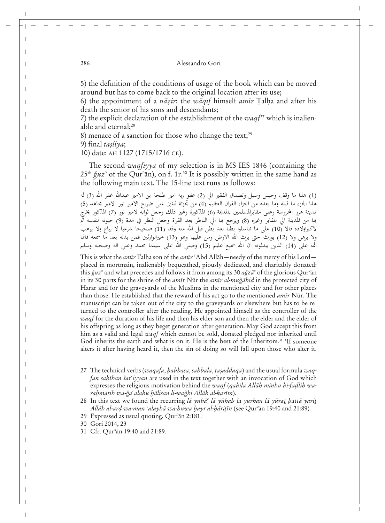5) the definition of the conditions of usage of the book which can be moved around but has to come back to the original location after its use;

6) the appointment of a *nāzir*: the *wāqif* himself *amīr* Talha and after his death the senior of his sons and descendants;

7) the explicit declaration of the establishment of the *waqf*27 which is inalienable and eternal;<sup>28</sup>

8) menace of a sanction for those who change the text;<sup>29</sup>

9) final *taصliya*;

10) date: AH 1127 (1715/1716 CE).

The second *waqfiyya* of my selection is in MS IES 1846 (containing the  $25<sup>th</sup> \check{g}$ uz<sup>3</sup> of the Qur<sup>3</sup>ān), on f. 1r.<sup>30</sup> It is possibly written in the same hand as the following main text. The 15-line text runs as follows:

(1) هذا ما وقف وحبس وسبل وتصدق الفقير الي (2) عفو ربه امير طلحة بن الامير عبدالله غفر الله (3) له هذا الجزء ما قبله وما بعده من اجزاء القران العظيم (4) من تجزئة ثلثين على ضريح الامير نور الامير مجاهد (5) عدينة هرر المحروسة وعلى مقابرالمسلمين بالمديمة (6) المذكورة وغير ذلك وجعل ثوابه لامير نور (7) المذكور يخرج بها من المدينة الي المقابر وغيره (8) ويرجع بما الي الناظر بعد القراة وجعل النظر في مدة (9) حيوته لنفسه ثم لاكبراولاده فالا (10) على ما تناسلوا بطنّا بعد بطن قبل الله منه وقفا (11) صحيحا شرعيا لا يباع ولا يوهب ولا يرهن ولا (12) يورث حتى يرث الله الارض ومن عليها وهو (13) خيرالوارثين فمن بدله بعد ما سمعه فانما اثمه على (14) الذين يبدلونه ان الله سميع عليم (15) وصلى الله على سيدنا محمد وعلى اله وصحبه وسلم

This is what the *amīr* Talha son of the *amīr* <sup>c</sup>Abd Allāh—needy of the mercy of his Lord placed in mortmain, inalienably bequeathed, piously dedicated, and charitably donated: this *ğuz<sup>°</sup>* and what precedes and follows it from among its 30  $a\breve{\chi}z\bar{a}$ <sup>3</sup> of the glorious Qur<sup>3</sup>an in its 30 parts for the shrine of the *amīr* Nūr the *amīr al-muǧāhid* in the protected city of Harar and for the graveyards of the Muslims in the mentioned city and for other places than those. He established that the reward of his act go to the mentioned *amir* Nūr. The manuscript can be taken out of the city to the graveyards or elsewhere but has to be returned to the controller after the reading. He appointed himself as the controller of the *waqf* for the duration of his life and then his elder son and then the elder and the elder of his offspring as long as they beget generation after generation. May God accept this from him as a valid and legal *waqf* which cannot be sold, donated pledged nor inherited until God inherits the earth and what is on it. He is the best of the Inheritors.<sup>31</sup> 'If someone alters it after having heard it, then the sin of doing so will fall upon those who alter it.

27 The technical verbs (*waqafa*, *abbasa*, *sabbala*, *taصaddaqa*) and the usual formula *waqfan sahīhan šar'iyyan* are used in the text together with an invocation of God which expresses the religious motivation behind the *waqf* (*qabila Allàh minhu bi-faןlih wa*rahmatih wa-ğa<sup>c</sup>alahu hālisan li-wağhi Allāh al-karīm).

28 In this text we found the recurring *lā yubā<sup>c</sup> lā yūhab la yurhan lā yūrat battā yarit Allāh al-ard wa-man <sup>c</sup>alayhā wa-huwa hayr al-hāritīn* (see Qur<sup>3</sup>ān 19:40 and 21:89).

29 Expressed as usual quoting, Qur<sup>3</sup>an 2:181.

30 Gori 2014, 23

H

 $\overline{\phantom{a}}$ 

31 Cfr. Qur<sup>3</sup>an 19:40 and 21:89.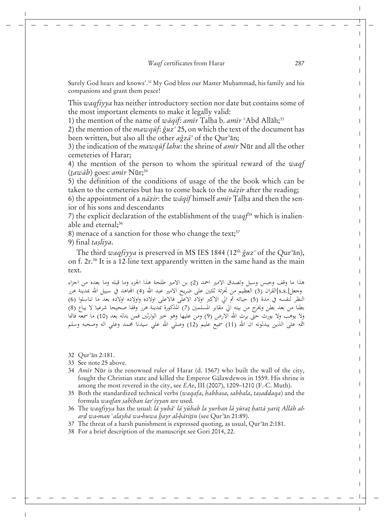Surely God hears and knows'.<sup>32</sup> My God bless our Master Muhammad, his family and his companions and grant them peace!

This *waqfiyya* has neither introductory section nor date but contains some of the most important elements to make it legally valid:

1) the mention of the name of wāqif: *amīr* Talha b. *amīr* <sup>c</sup>Abd Allāh;<sup>33</sup>

2) the mention of the  $mawq\bar{u}f$ :  $\check{g}uz^2$  25, on which the text of the document has been written, but also all the other  $a\check{g}z\bar{a}$ <sup>3</sup> of the Qur<sup>3</sup>ān;

3) the indication of the *mawqut lahu*: the shrine of *amir* Nur and all the other cemeteries of Harar;

4) the mention of the person to whom the spiritual reward of the *waqf* (*tawāb*) goes: *amīr* Nūr;<sup>34</sup>

5) the definition of the conditions of usage of the the book which can be taken to the cemeteries but has to come back to the *nazir* after the reading;

6) the appointment of a *nāzir*: the *wāqif* himself *amīr* Talha and then the senior of his sons and descendants

7) the explicit declaration of the establishment of the *waqf*35 which is inalienable and eternal;<sup>36</sup>

8) menace of a sanction for those who change the text; $37$ 

9) final *tasliya*.

The third *waqfiyya* is preserved in MS IES 1844 (12<sup>th</sup> *ğuz*<sup>3</sup> of the Qur<sup>3</sup>ān), on f. 2r.38 It is a 12-line text apparently written in the same hand as the main text.

هذا ما وقف وحبس وسبل وتصدق الامير احمد (2) بن الامير طلحة هذا الجزء وما قبله وما بعده من اجزاء وجعل[s.s]القران (3) العظيم من تجزئة ثلثين على ضريح الامير عبد الله (4) المحاهد في سبيل الله بمدينة هرر النظر لنفسه في مدة (5) حياتُه ثم الي الاكبر اولاد الاعلَّى فالاعلى اولاده واولاده اولاده بعد ما تناسلوا (6) بطنا من بعد بطن ويخرج من بيته الي مقابر المسلمين (7) المذكورة بمدينة هرر وقفا صحيحا شرعيا لا يباع (8) ولا يوهب ولا يورث حتى يرث الله الارض (9) ومن عليها وهو خير الوارثين فمن بدله بعد (10) ما سمعه فانما اثمه على الذين يبدلونه ان الله (11) سميع عليم (12) وصلى الله على سيدنا محمد وعلى اله وصحبه وسلم

32 Qur<sup>9</sup>ān 2:181.

- 33 See note 25 above.
- 34 *Amīr* Nūr is the renowned ruler of Harar (d. 1567) who built the wall of the city, fought the Christian state and killed the Emperor Gälawdewos in 1559. His shrine is among the most revered in the city, see *EAe*, III (2007), 1209–1210 (F.-C. Muth).
- 35 Both the standardized technical verbs (*waqafa*, *abbasa*, *sabbala*, *taصaddaqa*) and the formula *waqfan sahīhan šar<sup>c</sup>iyyan* are used.
- 36 The waqfiyya has the usual: lā yubā<sup>c</sup> lā yūhab la yurhan lā yūrat hattā yarit Allāh al*arן wa-man ʞalayhà wa-huwa ayr al-àriـĊn* (see Qurʝàn 21:89).
- 37 The threat of a harsh punishment is expressed quoting, as usual, Qur<sup>3</sup>an 2:181.
- 38 For a brief description of the manuscript see Gori 2014, 22.

 $\overline{1}$ 

 $\mathbf{I}$  $\mathbf{I}$ 

> Ť Ť

 $\mathbf{I}$ ı  $\mathbf{I}$  $\mathbf{I}$  $\mathbf{I}$  $\mathbf{I}$ ı  $\mathbf{I}$ 

 $\mathbf{I}$  $\mathbf l$  $\mathbf{I}$ 

Ī L  $\mathbf{I}$  $\mathbf{I}$ 

> $\mathbf{I}$ L

T  $\mathbf{I}$  $\mathsf{I}$  $\mathbf{I}$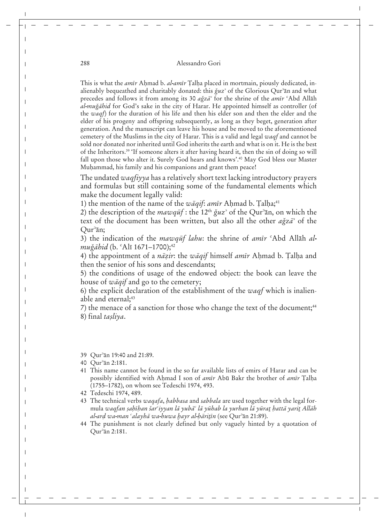This is what the *amīr* Ahmad b. *al-amīr* Talha placed in mortmain, piously dedicated, inalienably bequeathed and charitably donated: this  $\check{g}uz^{\circ}$  of the Glorious Qur<sup>2</sup>an and what precedes and follows it from among its 30  $a\check{g}z\overline{a}$ <sup>3</sup> for the shrine of the *am*<del>i</del>r <sup>c</sup>Abd Allāh *al-mudžàhid* for God's sake in the city of Harar. He appointed himself as controller (of the *waqf*) for the duration of his life and then his elder son and then the elder and the elder of his progeny and offspring subsequently, as long as they beget, generation after generation. And the manuscript can leave his house and be moved to the aforementioned cemetery of the Muslims in the city of Harar. This is a valid and legal *waqf* and cannot be sold nor donated nor inherited until God inherits the earth and what is on it. He is the best of the Inheritors.<sup>39</sup> 'If someone alters it after having heard it, then the sin of doing so will fall upon those who alter it. Surely God hears and knows'.40 May God bless our Master Muhammad, his family and his companions and grant them peace!

The undated *waqfiyya* has a relatively short text lacking introductory prayers and formulas but still containing some of the fundamental elements which make the document legally valid:

1) the mention of the name of the *wāqif: amīr* Ahmad b. Talha;<sup>41</sup>

2) the description of the  $maxq\bar{u}f$ : the 12<sup>th</sup>  $\check{g}uz^{\circ}$  of the Qur<sup>3</sup> $\bar{a}n$ , on which the text of the document has been written, but also all the other  $a\check{g}z\bar{a}$  of the Our<sup>3</sup>ān;

3) the indication of the *mawqut* lahu: the shrine of amir 'Abd Allah al*muğāhid* (b. °Alī 1671–1700);<sup>42</sup>

4) the appointment of a *nāzir*: the *wāqif* himself *amīr* Ahmad b. Talha and then the senior of his sons and descendants;

5) the conditions of usage of the endowed object: the book can leave the house of *wàqif* and go to the cemetery;

6) the explicit declaration of the establishment of the *waqf* which is inalienable and eternal;<sup>43</sup>

7) the menace of a sanction for those who change the text of the document;<sup>44</sup> 8) final *tasliya*.

- 39 Qur<sup>3</sup>an 19:40 and 21:89.
- 40 Our<sup>3</sup>an 2:181.
- 41 This name cannot be found in the so far available lists of emirs of Harar and can be possibly identified with Ahmad I son of *amīr* Abū Bakr the brother of *amīr* Talha (1755–1782), on whom see Tedeschi 1974, 493.
- 42 Tedeschi 1974, 489.
- 43 The technical verbs *waqafa*, *abbasa* and *sabbala* are used together with the legal formula *waqfan صaĊan ŀarʞiyyan là yubàʞ là yŊhab la yurhan là yŊraـ attà yariـ Allàh al-arן wa-man ʞalayhà wa-huwa ayr al-àriـĊn* (see Qurʝàn 21:89).
- 44 The punishment is not clearly defined but only vaguely hinted by a quotation of Qur<sup>3</sup>an 2:181.

 $\overline{\phantom{a}}$ 

 $\mathbf I$ 

 $\overline{\phantom{a}}$ 

 $\overline{\phantom{a}}$ 

 $\overline{\phantom{a}}$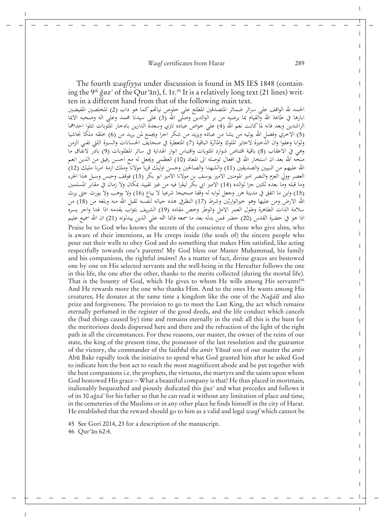The fourth *waqfiyya* under discussion is found in MS IES 1848 (containing the 9<sup>th</sup> guz<sup>3</sup> of the Qur<sup>3</sup>ān), f. 1r.<sup>45</sup> It is a relatively long text (21 lines) written in a different hand from that of the following main text. الحمد لله الواقف على سرائر ضمائر المتصدقين المطلع على خلوص نياتمم كما هو داب (2) المخلصين المفيضين ابارها في طاعة الله والقيام بما يرضيه من بر الوالدين وصلَّى الله (3) علىٰ سيدناً محمد وعلي اله وصحبه الايما<br>الراشدين وبعد فانه لما كانت نعم الله (4) على خواص عباده تتري وسعدة الدارين بادخار المثوبات تتلوا احداهما (5) الاخري وفضل الله يوتيه من يشا من عباده ويزيد من شكر اجرا ويجمع لمن يريد من (6) خلقه ملكا نجاشيا وثوابا وعفوا وان الذخيرة لاخاير الملوك والماثرة الباقية (7) المتعطرة في صحايف الحسانات والسيرة اللتي تفىي الزمن وهي في الاعقاب (8) باقية اقتناص شوارد المثوبات واقتباس انوار الهداية في سائر المطلوبات (9) بادّر لانفّاق ما منحَّه الله بعد ان استخار الله في افعال توصله الى المعاد (10) العظمى ويجعل له مع احسن رفيق من الذين انعم الله عليهم من النبيين والصديقين (11) والشهدا والصالحين وحسن اوليك قربا مولانا وملك ازمة امرنا مليك (12) العصر وولَّى العزم والنصر امير المومنين الامير يوسف بن مولانا الامير ابو بكر (13) فوقف وحبس وسبل هذا الجرء وما قبله وما بعده ثلثين جزا لوالده (14) الامير ابي بكر ليقرا فيه من غير تقييد بمكان ولا زمان في مقابر المسلمين (15) واين ما اتفق في مدينة هرر وجعل ثوابه له وقفا صحيحا شرعيا لا يباع (16) ولا يوهب ولا يورث حتى يرث الله الارض ومن عليها وهو خيرالوارثين وشرط (17) النظرفي هذه حياته لنفسه تقبل الله منه وبلغه من (18) من سلامة الذات الطاهرة وطول العمر الامل والوطر وخص مقامه (19) الشريف بثواب يقدمه اذا غدا واجر يسره اذا هو في حضرة القدس (20) حضر فمن بدله بعد ما سمعه فانما اثمه على الذين يبدلونه (21) ان الله سميع عليم

Praise be to God who knows the secrets of the conscience of those who give alms, who is aware of their intentions, as He creeps inside (the souls of) the sincere people who pour out their wells to obey God and do something that makes Him satisfied, like acting respectfully towards one's parents! My God bless our Master Muhammad, his family and his companions, the rightful *imàm*s! As a matter of fact, divine graces are bestowed one by one on His selected servants and the well-being in the Hereafter follows the one in this life, the one after the other, thanks to the merits collected (during the mortal life). That is the bounty of God, which He gives to whom He wills among His servants!<sup>46</sup> And He rewards more the one who thanks Him. And to the ones He wants among His creatures, He donates at the same time a kingdom like the one of the *Nağāši* and also prize and forgiveness. The provision to go to meet the Last King, the act which remains eternally perfumed in the register of the good deeds, and the life conduct which cancels the (bad things caused by) time and remains eternally in the end: all this is the hunt for the meritorious deeds dispersed here and there and the refraction of the light of the right path in all the circumstances. For these reasons, our master, the owner of the reins of our state, the king of the present time, the possessor of the last resolution and the guarantor of the victory, the commander of the faithful the *amīr* Yūsuf son of our master the *amīr* Abū Bakr rapidly took the initiative to spend what God granted him after he asked God to indicate him the best act to reach the most magnificent abode and be put together with the best companions i.e. the prophets, the virtuous, the martyrs and the saints upon whom God bestowed His grace*—*What a beautiful company is that! He thus placed in mortmain, inalienably bequeathed and piously dedicated this  $\check{g}uz^2$  and what precedes and follows it of its 30 *adžzàʝ* for his father so that he can read it without any limitation of place and time, in the cemeteries of the Muslims or in any other place he finds himself in the city of Harar. He established that the reward should go to him as a valid and legal *waqf* which cannot be

45 See Gori 2014, 23 for a description of the manuscript. 46 Qur<sup>3</sup>an 62:4.

 $\overline{\phantom{a}}$ 

 $\mathbf{I}$  $\mathbf{I}$ 

Ť  $\mathbf{I}$ 

ı ı Ī  $\mathbf{I}$ Ī  $\mathbf{I}$ I  $\mathbf{I}$ Ī I Ī  $\mathsf{I}$  $\mathbf{I}$ 

Ī ı ı  $\mathbf{I}$ 

> I  $\mathbf{I}$ L

Ī

I  $\mathbf{I}$  $\mathsf{I}$  $\mathbf{I}$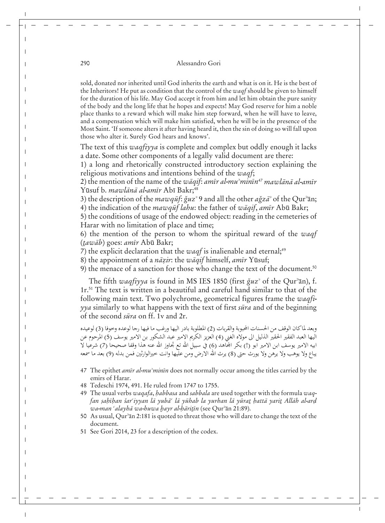sold, donated nor inherited until God inherits the earth and what is on it. He is the best of the Inheritors! He put as condition that the control of the *waqf* should be given to himself for the duration of his life. May God accept it from him and let him obtain the pure sanity of the body and the long life that he hopes and expects! May God reserve for him a noble place thanks to a reward which will make him step forward, when he will have to leave, and a compensation which will make him satisfied, when he will be in the presence of the Most Saint. 'If someone alters it after having heard it, then the sin of doing so will fall upon those who alter it. Surely God hears and knows'.

The text of this *waqfiyya* is complete and complex but oddly enough it lacks a date. Some other components of a legally valid document are there:

1) a long and rhetorically constructed introductory section explaining the religious motivations and intentions behind of the *waqf*;

2) the mention of the name of the *wāqif: amīr al-mu<sup>3</sup>minīn<sup>47</sup> mawlānā al-amīr* Yūsuf b. *mawlānā al-amīr* Abī Bakr;<sup>48</sup>

3) the description of the  $mawq\bar{u}f$ :  $\check{g}uz$ <sup>2</sup> 9 and all the other  $a\check{g}z\bar{a}$ <sup>2</sup> of the Qur<sup>3</sup>an; 4) the indication of the *mawqut* lahu: the father of waqif, amir Abu Bakr;

5) the conditions of usage of the endowed object: reading in the cemeteries of Harar with no limitation of place and time;

6) the mention of the person to whom the spiritual reward of the *waqf* (*tawāb*) goes: *amīr* Abū Bakr;

7) the explicit declaration that the  $w a q f$  is inalienable and eternal;<sup>49</sup>

8) the appointment of a *nāzir*: the wāqif himself, *amīr* Yūsuf;

9) the menace of a sanction for those who change the text of the document.<sup>50</sup>

The fifth *waqfiyya* is found in MS IES 1850 (first  $\check{g}uz^{\circ}$  of the Qur<sup>3</sup>an), f. 1r.51 The text is written in a beautiful and careful hand similar to that of the following main text. Two polychrome, geometrical figures frame the *waqfiyya* similarly to what happens with the text of first *sūra* and of the beginning of the second *sūra* on ff. 1y and 2r.

وبعد لماكان الوقف من الحسنات المجوبة والقربات (2) المطلوبة بادر اليها ورغب ما فيها رجا لوعده وحوفا (3) لوعيده اليها العبد الفقير الحقير الذليل الى مولاه الغني (4) العزيز الكريم الامير عبد الشكور بن الامير يوسف (5) المرحوم عن ابيه الامير يوسف ابن الامير ابو (!) بكر المجاهد (6) في سبيل الله تع تجاوز الله عنه هذا وقفا صحيحا (7) شرعيا لا يباع ولا يوهب ولا يرهن ولا يورث حتى (8) يرث الله الارض ومن عليها وانت خيرالوارثين فمن بدله (9) بعد ما سمعه

- 47 The epithet *amīr al-mu<sup>3</sup>minīn* does not normally occur among the titles carried by the emirs of Harar.
- 48 Tedeschi 1974, 491. He ruled from 1747 to 1755.
- 49 The usual verbs *waqafa*, *abbasa* and *sabbala* are used together with the formula *waq*fan sahīhan šar<sup>c</sup>iyyan lā yubā° lā yūhab la yurhan lā yūra<u>t</u> hattā yari<u>t</u> Allāh al-ard *wa-man <sup>c</sup>alayhā wa-huwa hayr al-hāritīn* (see Qur<sup>3</sup>ān 21:89).
- 50 As usual, Qur'an 2:181 is quoted to threat those who will dare to change the text of the document.
- 51 See Gori 2014, 23 for a description of the codex.

 $\overline{\phantom{a}}$ 

 $\overline{\phantom{a}}$ 

 $\overline{1}$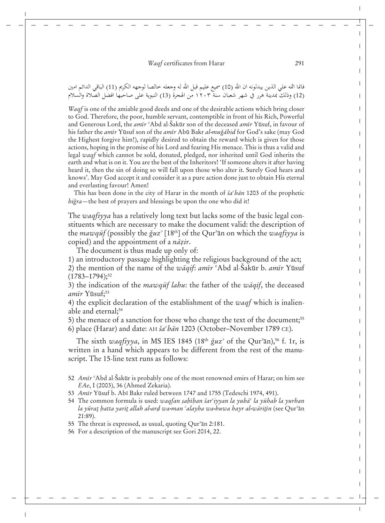فانما اثمه على الذين يبدلونه ان الله (10) سميع عليم قبل الله له وجعله خالصا لوجهه الكريم (11) الباقي الدائم امين (12) وذلكَ بمدينة هرر في شهر شعبان سنة ١٢٠٣ من الهجرة (13) النبوية على صاحبها افضل الصّالاة والسلام

*Waqf* is one of the amiable good deeds and one of the desirable actions which bring closer to God. Therefore, the poor, humble servant, contemptible in front of his Rich, Powerful and Generous Lord, the *amīr* <sup>c</sup>Abd al-Šakūr son of the deceased *amīr* Yūsuf, in favour of his father the *amīr* Yūsuf son of the *amīr* Abū Bakr *al-muǧāhid* for God's sake (may God the Highest forgive him!), rapidly desired to obtain the reward which is given for those actions, hoping in the promise of his Lord and fearing His menace. This is thus a valid and legal *waqf* which cannot be sold, donated, pledged, nor inherited until God inherits the earth and what is on it. You are the best of the Inheritors! 'If someone alters it after having heard it, then the sin of doing so will fall upon those who alter it. Surely God hears and knows'. May God accept it and consider it as a pure action done just to obtain His eternal and everlasting favour! Amen!

This has been done in the city of Harar in the month of  $\check{s}a^{\epsilon}b\bar{a}n$  1203 of the prophetic *higra*—the best of prayers and blessings be upon the one who did it!

The *waqfiyya* has a relatively long text but lacks some of the basic legal constituents which are necessary to make the document valid: the description of the *mawqut* (possibly the  $\check{g}uz^{\circ}$  [18<sup>th</sup>] of the Qur<sup>3</sup>an on which the *waqfiyya* is copied) and the appointment of a *nāzir*.

The document is thus made up only of:

1) an introductory passage highlighting the religious background of the act;

2) the mention of the name of the *wāqif: amīr* °Abd al-Šakūr b. *amīr* Yūsuf  $(1783 - 1794);$ <sup>52</sup>

3) the indication of the *mawqut* lahu: the father of the *waqif*, the deceased *amīr* Yūsuf;<sup>53</sup>

4) the explicit declaration of the establishment of the *waqf* which is inalienable and eternal;<sup>54</sup>

5) the menace of a sanction for those who change the text of the document;<sup>55</sup>

6) place (Harar) and date: AH *ŀaʞbàn* 1203 (October–November 1789 CE).

The sixth *waqfiyya*, in MS IES 1845 (18<sup>th</sup>  $\check{g}uz^{\circ}$  of the Qur<sup>3</sup>an),<sup>56</sup> f. 1r, is written in a hand which appears to be different from the rest of the manuscript. The 15-line text runs as follows:

- 52 *Amīr* °Abd al-Sakūr is probably one of the most renowned emirs of Harar; on him see *EAe*, I (2003), 36 (Ahmed Zekaria).
- 53 *Amīr* Yūsuf b. Abī Bakr ruled between 1747 and 1755 (Tedeschi 1974, 491).
- 54 The common formula is used: *waqfan ṣaḥīḥan šar<sup>c</sup>iyyan la yubā<sup>c</sup> la yūhab la yurhan*  $la$ *yūra<u>t</u> hatta yarit allah al-ard wa-man ʿalayha wa-huwa hayr al-wāritīn (see Qurʾān* 21:89).
- 55 The threat is expressed, as usual, quoting Qur<sup>3</sup>an 2:181.
- 56 For a description of the manuscript see Gori 2014, 22.

 $\overline{1}$ 

 $\mathbf{I}$  $\mathbf{I}$ ı Ť Ť

ı ı Ī  $\mathbf{I}$  $\mathbf{I}$  $\mathbf{I}$ ı  $\mathbf{I}$ Ī

 $\mathbf{I}$  $\mathbf l$  $\mathbf{I}$ 

Ī ı  $\mathbf{I}$  $\mathbf{I}$ 

Ī Ī  $\mathbf{I}$ 

Ī  $\mathbf{I}$  $\mathsf{l}$  $\mathbf{I}$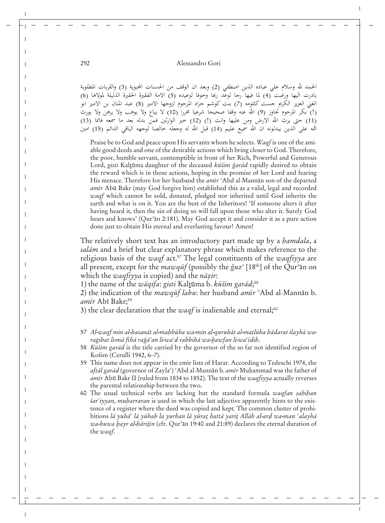الحمد لله وسلام على عباده الذين اصطفى (2) وبعد ان الوقف من الحسنات المحبوية (3) والقربات المطلوبة بادرت اليها ورغبت ّ(4) لما فيها رجا لوعّد ربَّعا وخوفا لوعيده (5) الامة الفقيرة الحقيرة الذليلة لمولاها (6) الغني العزيز الكريم جست كلثومه (7) بنت كوشم جراد المرحوم لزوجها الامير (8) عبد المنان بن الامير ابو (!) بكر المرحوم تجاوز (9) الله عنه وقفا صحيحاً شرعيا محررا (10) لا يباع ولا يوهب ولا يرهن ولا يورث (11) حتى يرث الله الارض ومن عليها وانت (!) (12) خير الوارثين فمنّ بدله بعد ما سمعه فانما (13) اثمه على الذين يبدلونه ان الله سميع عليم (14) قبل الله له وجعله خالصا لوجهه الباقي الدائم (15) امين

Praise be to God and peace upon His servants whom he selects. *Waqf* is one of the amiable good deeds and one of the desirable actions which bring closer to God. Therefore, the poor, humble servant, contemptible in front of her Rich, Powerful and Generous Lord, *gisti* Kaltūma daughter of the deceased *kūšim ǧarād* rapidly desired to obtain the reward which is in those actions, hoping in the promise of her Lord and fearing His menace. Therefore for her husband the *amīr* <sup>e</sup>Abd al-Mannān son of the departed amīr Abū Bakr (may God forgive him) established this as a valid, legal and recorded *waqf* which cannot be sold, donated, pledged nor inherited until God inherits the earth and what is on it. You are the best of the Inheritors! 'If someone alters it after having heard it, then the sin of doing so will fall upon those who alter it. Surely God hears and knows' (Qur'an 2:181). May God accept it and consider it as a pure action done just to obtain His eternal and everlasting favour! Amen!

The relatively short text has an introductory part made up by a *hamdala*, a *salàm* and a brief but clear explanatory phrase which makes reference to the religious basis of the *waqf* act.57 The legal constituents of the *waqfiyya* are all present, except for the *mawqut* (possibly the  $\check{g}uz^{\circ}$  [18<sup>th</sup>] of the Qur<sup>3</sup>an on which the *waqfiyya* is copied) and the *nāzir*:

1) the name of the *wāqifa*: g*isti* Kal<u>t</u>ūma b. *kūšim garād*;<sup>58</sup>

2) the indication of the *mawqut lahu*: her husband *amir* <sup>c</sup>Abd al-Mannan b. amīr Abī Bakr;<sup>59</sup>

3) the clear declaration that the  $w a q f$  is inalienable and eternal;<sup>60</sup>

- 57 Al-waqf min al-*hasanāt al-mahbūba wa-min al-qurubāt al-matlūba bādarat ilayhā wa*raģibat li-mā fīhā raģā<sup>3</sup>an li-wa<sup>c</sup>d rabbihā wa-hawfan li-wa<sup>c</sup>īdih.
- 58 *Kūšim garād* is the title carried by the governor of the so far not identified region of Košim (Cerulli 1942, 6–7).
- 59 This name does not appear in the emir lists of Harar. According to Tedeschi 1974, the *aftāl garād* (governor of Zayla<sup>c</sup>) <sup>c</sup>Abd al-Mannān b. *amīr* Muḥammad was the father of *amīr* Abū Bakr II (ruled from 1834 to 1852). The text of the *waqfiyya* actually reverses the parental relationship between the two.
- 60 The usual technical verbs are lacking but the standard formula *waqfan sahihan <sup><i>šar<sup>c</sup>iyyan, muharraran* is used in which the last adjective apparently hints to the exis-</sup> tence of a register where the deed was copied and kept*.* The common cluster of prohibitions lā yubā<sup>c</sup> lā yūhab la yurhan lā yūrat hattā yarit Allāh al-ard wa-man <sup>c</sup>alayhā *wa-huwa hayr al-hāritīn* (cfr. Qur<sup>3</sup>ān 19:40 and 21:89) declares the eternal duration of the *waqf*.

 $\overline{\phantom{a}}$ 

 $\overline{\phantom{a}}$ 

 $\overline{\phantom{a}}$ 

 $\overline{\phantom{a}}$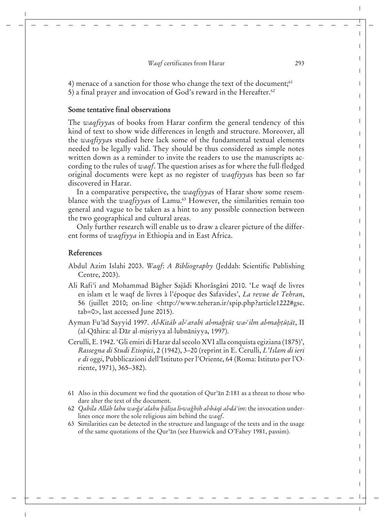4) menace of a sanction for those who change the text of the document;<sup>61</sup> 5) a final prayer and invocation of God's reward in the Hereafter.62

# **Some tentative final observations**

The *waqfiyya*s of books from Harar confirm the general tendency of this kind of text to show wide differences in length and structure. Moreover, all the *waqfiyya*s studied here lack some of the fundamental textual elements needed to be legally valid. They should be thus considered as simple notes written down as a reminder to invite the readers to use the manuscripts according to the rules of *waqf*. The question arises as for where the full-fledged original documents were kept as no register of *waqfiyya*s has been so far discovered in Harar.

In a comparative perspective, the *waqfiyya*s of Harar show some resemblance with the *waqfiyya*s of Lamu.<sup>63</sup> However, the similarities remain too general and vague to be taken as a hint to any possible connection between the two geographical and cultural areas.

Only further research will enable us to draw a clearer picture of the different forms of *waqfiyya* in Ethiopia and in East Africa.

### **References**

- Abdul Azim Islahi 2003. *Waqf*: *A Bibliography* (Jeddah: Scientific Publishing Centre, 2003).
- Ali Rafi'i and Mohammad Bâgher Sajâdi Khorâsgâni 2010. 'Le waqf de livres en islam et le waqf de livres à l'époque des Safavides', *La revue de Tehran*, 56 (juillet 2010; on-line <http://www.teheran.ir/spip.php?article1222#gsc. tab=0>, last accessed June 2015).
- Ayman Fu<sup>3</sup>ād Sayyid 1997. *Al-Kitāb al-ªarabī al-maḥṭūṭ wa-°ilm al-maḥṭūṭāt*, II (al-Qāhira: al-Dār al-miṣriyya al-lubnāniyya, 1997).

Cerulli, E. 1942. 'Gli emiri di Harar dal secolo XVI alla conquista egiziana (1875)', *Rassegna di Studi Etiopici*, 2 (1942), 3–20 (reprint in E. Cerulli, *L߈Islam di ieri e di oggi*, Pubblicazioni dell'Istituto per l'Oriente, 64 (Roma: Istituto per l'Oriente, 1971), 365–382).

- 61 Also in this document we find the quotation of  $Qur^2$  an 2:181 as a threat to those who dare alter the text of the document.
- 62 *Qabila Allāh lahu wa-ğa<sup>c</sup>alahu hālisa li-wağhih al-bāqī al-dā<sup>3</sup>im: the invocation under*lines once more the sole religious aim behind the *waqf*.
- 63 Similarities can be detected in the structure and language of the texts and in the usage of the same quotations of the Qur $\alpha$ <sup>3</sup>an (see Hunwick and O'Fahey 1981, passim).

 $\overline{1}$ 

 $\mathbf{I}$  $\mathbf{I}$ ı  $\mathbf{I}$  $\mathbf{I}$ 

> $\mathbf{I}$ I  $\mathbf{I}$  $\mathbf{I}$  $\mathbf{I}$ Ť ı  $\mathbf{I}$ Ī

> $\mathbf{I}$  $\mathbf{I}$  $\mathbf{I}$

> Ī Ť  $\mathbf{I}$  $\mathbf{I}$

> ı Ī Ť  $\mathbf{I}$

> > I

 $\mathbf{I}$  $\mathbf{I}$  $\mathsf{I}$  $\mathbf{I}$